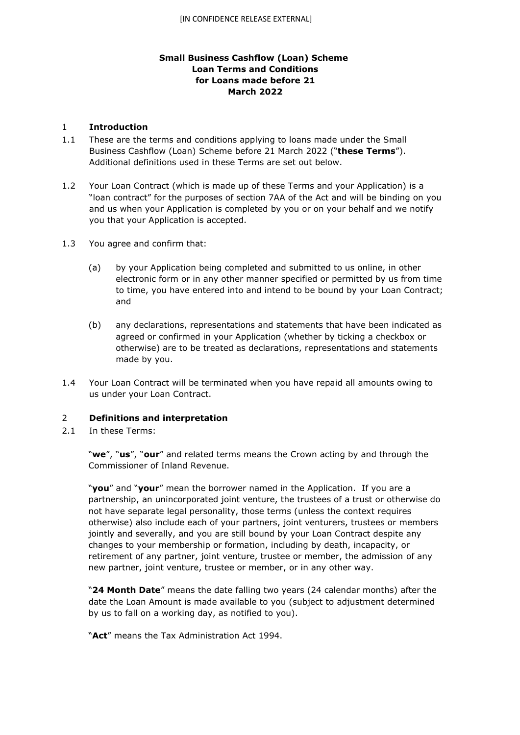# **Small Business Cashflow (Loan) Scheme Loan Terms and Conditions for Loans made before 21 March 2022**

### 1 **Introduction**

- 1.1 These are the terms and conditions applying to loans made under the Small Business Cashflow (Loan) Scheme before 21 March 2022 ("**these Terms**"). Additional definitions used in these Terms are set out below.
- 1.2 Your Loan Contract (which is made up of these Terms and your Application) is a "loan contract" for the purposes of section 7AA of the Act and will be binding on you and us when your Application is completed by you or on your behalf and we notify you that your Application is accepted.
- 1.3 You agree and confirm that:
	- (a) by your Application being completed and submitted to us online, in other electronic form or in any other manner specified or permitted by us from time to time, you have entered into and intend to be bound by your Loan Contract; and
	- (b) any declarations, representations and statements that have been indicated as agreed or confirmed in your Application (whether by ticking a checkbox or otherwise) are to be treated as declarations, representations and statements made by you.
- 1.4 Your Loan Contract will be terminated when you have repaid all amounts owing to us under your Loan Contract.

# 2 **Definitions and interpretation**

2.1 In these Terms:

"**we**", "**us**", "**our**" and related terms means the Crown acting by and through the Commissioner of Inland Revenue.

"**you**" and "**your**" mean the borrower named in the Application. If you are a partnership, an unincorporated joint venture, the trustees of a trust or otherwise do not have separate legal personality, those terms (unless the context requires otherwise) also include each of your partners, joint venturers, trustees or members jointly and severally, and you are still bound by your Loan Contract despite any changes to your membership or formation, including by death, incapacity, or retirement of any partner, joint venture, trustee or member, the admission of any new partner, joint venture, trustee or member, or in any other way.

"**24 Month Date**" means the date falling two years (24 calendar months) after the date the Loan Amount is made available to you (subject to adjustment determined by us to fall on a working day, as notified to you).

"**Act**" means the Tax Administration Act 1994.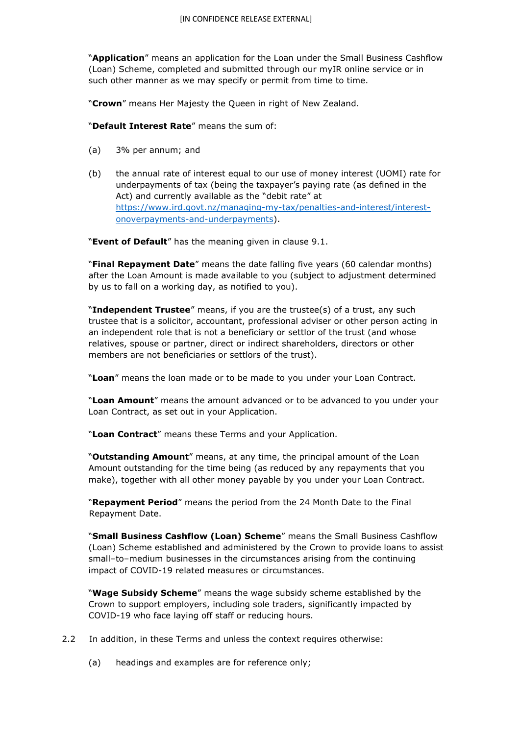"**Application**" means an application for the Loan under the Small Business Cashflow (Loan) Scheme, completed and submitted through our myIR online service or in such other manner as we may specify or permit from time to time.

"**Crown**" means Her Majesty the Queen in right of New Zealand.

"**Default Interest Rate**" means the sum of:

- (a) 3% per annum; and
- (b) the annual rate of interest equal to our use of money interest (UOMI) rate for underpayments of tax (being the taxpayer's paying rate (as defined in the Act) and currently available as the "debit rate" at [https://www.ird.govt.nz/managing-my-tax/penalties-and-interest/interest](https://www.ird.govt.nz/managing-my-tax/penalties-and-interest/interest-on-overpayments-and-underpayments)[onoverpayments-and-underpayments\).](https://www.ird.govt.nz/managing-my-tax/penalties-and-interest/interest-on-overpayments-and-underpayments)

"**Event of Default**" has the meaning given in clause 9.1.

"**Final Repayment Date**" means the date falling five years (60 calendar months) after the Loan Amount is made available to you (subject to adjustment determined by us to fall on a working day, as notified to you).

"**Independent Trustee**" means, if you are the trustee(s) of a trust, any such trustee that is a solicitor, accountant, professional adviser or other person acting in an independent role that is not a beneficiary or settlor of the trust (and whose relatives, spouse or partner, direct or indirect shareholders, directors or other members are not beneficiaries or settlors of the trust).

"**Loan**" means the loan made or to be made to you under your Loan Contract.

"**Loan Amount**" means the amount advanced or to be advanced to you under your Loan Contract, as set out in your Application.

"**Loan Contract**" means these Terms and your Application.

"**Outstanding Amount**" means, at any time, the principal amount of the Loan Amount outstanding for the time being (as reduced by any repayments that you make), together with all other money payable by you under your Loan Contract.

"**Repayment Period**" means the period from the 24 Month Date to the Final Repayment Date.

"**Small Business Cashflow (Loan) Scheme**" means the Small Business Cashflow (Loan) Scheme established and administered by the Crown to provide loans to assist small–to–medium businesses in the circumstances arising from the continuing impact of COVID-19 related measures or circumstances.

"**Wage Subsidy Scheme**" means the wage subsidy scheme established by the Crown to support employers, including sole traders, significantly impacted by COVID-19 who face laying off staff or reducing hours.

- 2.2 In addition, in these Terms and unless the context requires otherwise:
	- (a) headings and examples are for reference only;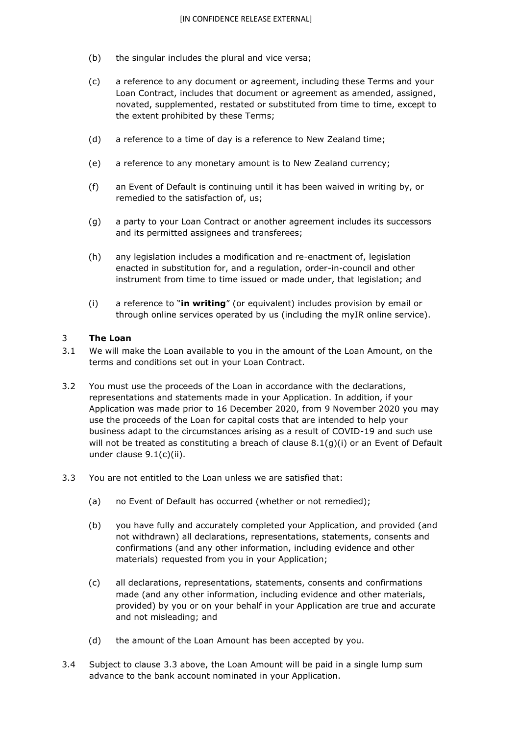- (b) the singular includes the plural and vice versa;
- (c) a reference to any document or agreement, including these Terms and your Loan Contract, includes that document or agreement as amended, assigned, novated, supplemented, restated or substituted from time to time, except to the extent prohibited by these Terms;
- (d) a reference to a time of day is a reference to New Zealand time;
- (e) a reference to any monetary amount is to New Zealand currency;
- (f) an Event of Default is continuing until it has been waived in writing by, or remedied to the satisfaction of, us;
- (g) a party to your Loan Contract or another agreement includes its successors and its permitted assignees and transferees;
- (h) any legislation includes a modification and re-enactment of, legislation enacted in substitution for, and a regulation, order-in-council and other instrument from time to time issued or made under, that legislation; and
- (i) a reference to "**in writing**" (or equivalent) includes provision by email or through online services operated by us (including the myIR online service).

#### 3 **The Loan**

- 3.1 We will make the Loan available to you in the amount of the Loan Amount, on the terms and conditions set out in your Loan Contract.
- 3.2 You must use the proceeds of the Loan in accordance with the declarations, representations and statements made in your Application. In addition, if your Application was made prior to 16 December 2020, from 9 November 2020 you may use the proceeds of the Loan for capital costs that are intended to help your business adapt to the circumstances arising as a result of COVID-19 and such use will not be treated as constituting a breach of clause  $8.1(q)(i)$  or an Event of Default under clause 9.1(c)(ii).
- 3.3 You are not entitled to the Loan unless we are satisfied that:
	- (a) no Event of Default has occurred (whether or not remedied);
	- (b) you have fully and accurately completed your Application, and provided (and not withdrawn) all declarations, representations, statements, consents and confirmations (and any other information, including evidence and other materials) requested from you in your Application;
	- (c) all declarations, representations, statements, consents and confirmations made (and any other information, including evidence and other materials, provided) by you or on your behalf in your Application are true and accurate and not misleading; and
	- (d) the amount of the Loan Amount has been accepted by you.
- 3.4 Subject to clause 3.3 above, the Loan Amount will be paid in a single lump sum advance to the bank account nominated in your Application.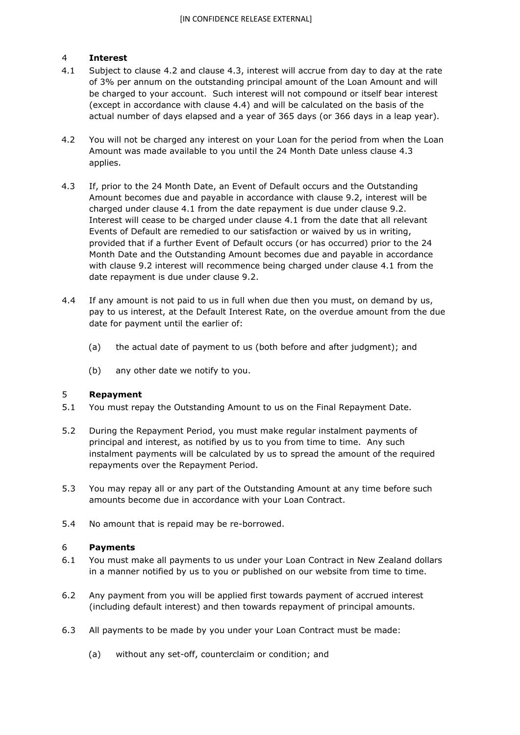# 4 **Interest**

- 4.1 Subject to clause 4.2 and clause 4.3, interest will accrue from day to day at the rate of 3% per annum on the outstanding principal amount of the Loan Amount and will be charged to your account. Such interest will not compound or itself bear interest (except in accordance with clause 4.4) and will be calculated on the basis of the actual number of days elapsed and a year of 365 days (or 366 days in a leap year).
- 4.2 You will not be charged any interest on your Loan for the period from when the Loan Amount was made available to you until the 24 Month Date unless clause 4.3 applies.
- 4.3 If, prior to the 24 Month Date, an Event of Default occurs and the Outstanding Amount becomes due and payable in accordance with clause 9.2, interest will be charged under clause 4.1 from the date repayment is due under clause 9.2. Interest will cease to be charged under clause 4.1 from the date that all relevant Events of Default are remedied to our satisfaction or waived by us in writing, provided that if a further Event of Default occurs (or has occurred) prior to the 24 Month Date and the Outstanding Amount becomes due and payable in accordance with clause 9.2 interest will recommence being charged under clause 4.1 from the date repayment is due under clause 9.2.
- 4.4 If any amount is not paid to us in full when due then you must, on demand by us, pay to us interest, at the Default Interest Rate, on the overdue amount from the due date for payment until the earlier of:
	- (a) the actual date of payment to us (both before and after judgment); and
	- (b) any other date we notify to you.

# 5 **Repayment**

- 5.1 You must repay the Outstanding Amount to us on the Final Repayment Date.
- 5.2 During the Repayment Period, you must make regular instalment payments of principal and interest, as notified by us to you from time to time. Any such instalment payments will be calculated by us to spread the amount of the required repayments over the Repayment Period.
- 5.3 You may repay all or any part of the Outstanding Amount at any time before such amounts become due in accordance with your Loan Contract.
- 5.4 No amount that is repaid may be re-borrowed.

# 6 **Payments**

- 6.1 You must make all payments to us under your Loan Contract in New Zealand dollars in a manner notified by us to you or published on our website from time to time.
- 6.2 Any payment from you will be applied first towards payment of accrued interest (including default interest) and then towards repayment of principal amounts.
- 6.3 All payments to be made by you under your Loan Contract must be made:
	- (a) without any set-off, counterclaim or condition; and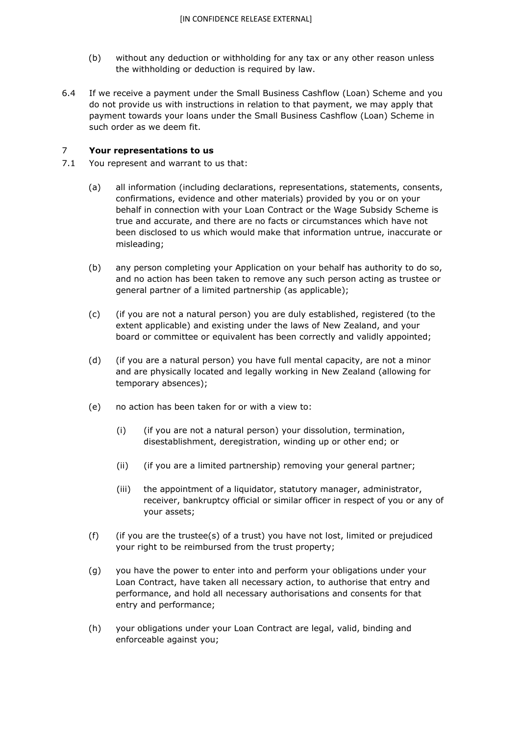- (b) without any deduction or withholding for any tax or any other reason unless the withholding or deduction is required by law.
- 6.4 If we receive a payment under the Small Business Cashflow (Loan) Scheme and you do not provide us with instructions in relation to that payment, we may apply that payment towards your loans under the Small Business Cashflow (Loan) Scheme in such order as we deem fit.

### 7 **Your representations to us**

- 7.1 You represent and warrant to us that:
	- (a) all information (including declarations, representations, statements, consents, confirmations, evidence and other materials) provided by you or on your behalf in connection with your Loan Contract or the Wage Subsidy Scheme is true and accurate, and there are no facts or circumstances which have not been disclosed to us which would make that information untrue, inaccurate or misleading;
	- (b) any person completing your Application on your behalf has authority to do so, and no action has been taken to remove any such person acting as trustee or general partner of a limited partnership (as applicable);
	- (c) (if you are not a natural person) you are duly established, registered (to the extent applicable) and existing under the laws of New Zealand, and your board or committee or equivalent has been correctly and validly appointed;
	- (d) (if you are a natural person) you have full mental capacity, are not a minor and are physically located and legally working in New Zealand (allowing for temporary absences);
	- (e) no action has been taken for or with a view to:
		- (i) (if you are not a natural person) your dissolution, termination, disestablishment, deregistration, winding up or other end; or
		- (ii) (if you are a limited partnership) removing your general partner;
		- (iii) the appointment of a liquidator, statutory manager, administrator, receiver, bankruptcy official or similar officer in respect of you or any of your assets;
	- (f) (if you are the trustee(s) of a trust) you have not lost, limited or prejudiced your right to be reimbursed from the trust property;
	- (g) you have the power to enter into and perform your obligations under your Loan Contract, have taken all necessary action, to authorise that entry and performance, and hold all necessary authorisations and consents for that entry and performance;
	- (h) your obligations under your Loan Contract are legal, valid, binding and enforceable against you;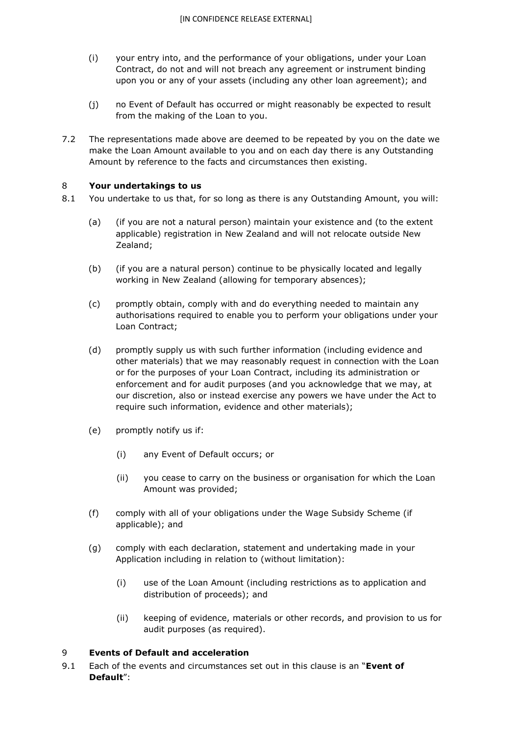- (i) your entry into, and the performance of your obligations, under your Loan Contract, do not and will not breach any agreement or instrument binding upon you or any of your assets (including any other loan agreement); and
- (j) no Event of Default has occurred or might reasonably be expected to result from the making of the Loan to you.
- 7.2 The representations made above are deemed to be repeated by you on the date we make the Loan Amount available to you and on each day there is any Outstanding Amount by reference to the facts and circumstances then existing.

#### 8 **Your undertakings to us**

- 8.1 You undertake to us that, for so long as there is any Outstanding Amount, you will:
	- (a) (if you are not a natural person) maintain your existence and (to the extent applicable) registration in New Zealand and will not relocate outside New Zealand;
	- (b) (if you are a natural person) continue to be physically located and legally working in New Zealand (allowing for temporary absences);
	- (c) promptly obtain, comply with and do everything needed to maintain any authorisations required to enable you to perform your obligations under your Loan Contract;
	- (d) promptly supply us with such further information (including evidence and other materials) that we may reasonably request in connection with the Loan or for the purposes of your Loan Contract, including its administration or enforcement and for audit purposes (and you acknowledge that we may, at our discretion, also or instead exercise any powers we have under the Act to require such information, evidence and other materials);
	- (e) promptly notify us if:
		- (i) any Event of Default occurs; or
		- (ii) you cease to carry on the business or organisation for which the Loan Amount was provided;
	- (f) comply with all of your obligations under the Wage Subsidy Scheme (if applicable); and
	- (g) comply with each declaration, statement and undertaking made in your Application including in relation to (without limitation):
		- (i) use of the Loan Amount (including restrictions as to application and distribution of proceeds); and
		- (ii) keeping of evidence, materials or other records, and provision to us for audit purposes (as required).

#### 9 **Events of Default and acceleration**

9.1 Each of the events and circumstances set out in this clause is an "**Event of Default**":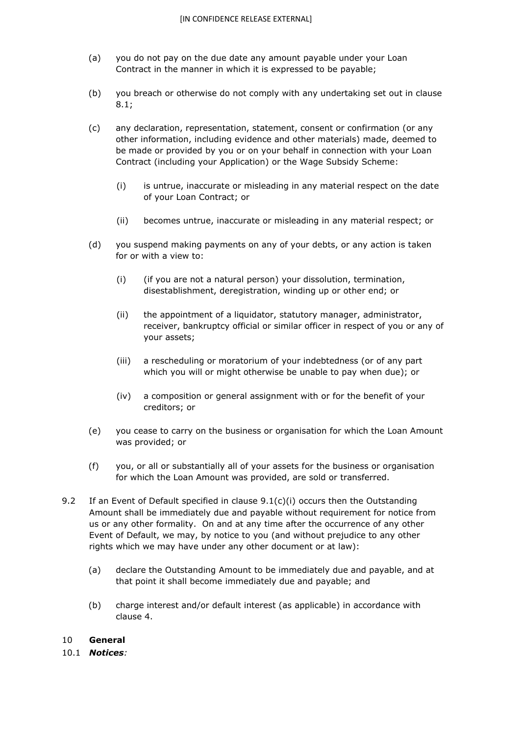- (a) you do not pay on the due date any amount payable under your Loan Contract in the manner in which it is expressed to be payable;
- (b) you breach or otherwise do not comply with any undertaking set out in clause 8.1;
- (c) any declaration, representation, statement, consent or confirmation (or any other information, including evidence and other materials) made, deemed to be made or provided by you or on your behalf in connection with your Loan Contract (including your Application) or the Wage Subsidy Scheme:
	- (i) is untrue, inaccurate or misleading in any material respect on the date of your Loan Contract; or
	- (ii) becomes untrue, inaccurate or misleading in any material respect; or
- (d) you suspend making payments on any of your debts, or any action is taken for or with a view to:
	- (i) (if you are not a natural person) your dissolution, termination, disestablishment, deregistration, winding up or other end; or
	- (ii) the appointment of a liquidator, statutory manager, administrator, receiver, bankruptcy official or similar officer in respect of you or any of your assets;
	- (iii) a rescheduling or moratorium of your indebtedness (or of any part which you will or might otherwise be unable to pay when due); or
	- (iv) a composition or general assignment with or for the benefit of your creditors; or
- (e) you cease to carry on the business or organisation for which the Loan Amount was provided; or
- (f) you, or all or substantially all of your assets for the business or organisation for which the Loan Amount was provided, are sold or transferred.
- 9.2 If an Event of Default specified in clause 9.1(c)(i) occurs then the Outstanding Amount shall be immediately due and payable without requirement for notice from us or any other formality. On and at any time after the occurrence of any other Event of Default, we may, by notice to you (and without prejudice to any other rights which we may have under any other document or at law):
	- (a) declare the Outstanding Amount to be immediately due and payable, and at that point it shall become immediately due and payable; and
	- (b) charge interest and/or default interest (as applicable) in accordance with clause 4.

#### 10 **General**

10.1 *Notices:*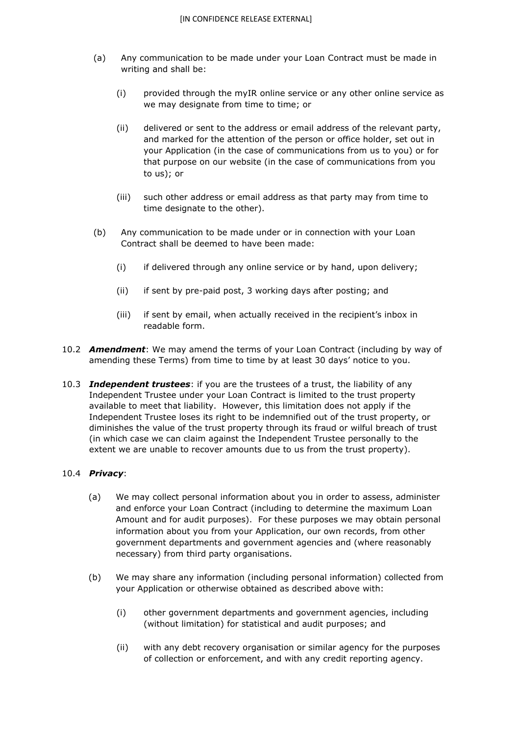- (a) Any communication to be made under your Loan Contract must be made in writing and shall be:
	- (i) provided through the myIR online service or any other online service as we may designate from time to time; or
	- (ii) delivered or sent to the address or email address of the relevant party, and marked for the attention of the person or office holder, set out in your Application (in the case of communications from us to you) or for that purpose on our website (in the case of communications from you to us); or
	- (iii) such other address or email address as that party may from time to time designate to the other).
- (b) Any communication to be made under or in connection with your Loan Contract shall be deemed to have been made:
	- (i) if delivered through any online service or by hand, upon delivery;
	- (ii) if sent by pre-paid post, 3 working days after posting; and
	- (iii) if sent by email, when actually received in the recipient's inbox in readable form.
- 10.2 *Amendment*: We may amend the terms of your Loan Contract (including by way of amending these Terms) from time to time by at least 30 days' notice to you.
- 10.3 *Independent trustees*: if you are the trustees of a trust, the liability of any Independent Trustee under your Loan Contract is limited to the trust property available to meet that liability. However, this limitation does not apply if the Independent Trustee loses its right to be indemnified out of the trust property, or diminishes the value of the trust property through its fraud or wilful breach of trust (in which case we can claim against the Independent Trustee personally to the extent we are unable to recover amounts due to us from the trust property).

### 10.4 *Privacy*:

- (a) We may collect personal information about you in order to assess, administer and enforce your Loan Contract (including to determine the maximum Loan Amount and for audit purposes). For these purposes we may obtain personal information about you from your Application, our own records, from other government departments and government agencies and (where reasonably necessary) from third party organisations.
- (b) We may share any information (including personal information) collected from your Application or otherwise obtained as described above with:
	- (i) other government departments and government agencies, including (without limitation) for statistical and audit purposes; and
	- (ii) with any debt recovery organisation or similar agency for the purposes of collection or enforcement, and with any credit reporting agency.